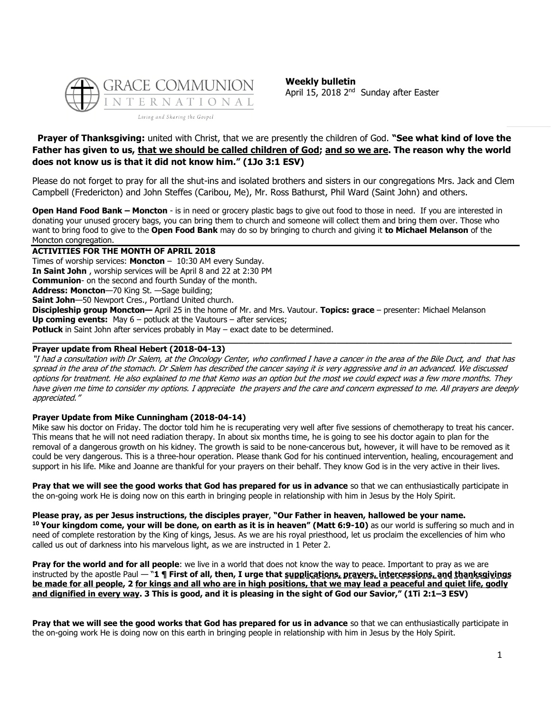

**Weekly bulletin** April 15, 2018 2<sup>nd</sup> Sunday after Easter

## **Prayer of Thanksgiving:** united with Christ, that we are presently the children of God. **"See what kind of love the Father has given to us, that we should be called children of God; and so we are. The reason why the world does not know us is that it did not know him." (1Jo 3:1 ESV)**

Please do not forget to pray for all the shut-ins and isolated brothers and sisters in our congregations Mrs. Jack and Clem Campbell (Fredericton) and John Steffes (Caribou, Me), Mr. Ross Bathurst, Phil Ward (Saint John) and others.

**Open Hand Food Bank – Moncton** - is in need or grocery plastic bags to give out food to those in need. If you are interested in donating your unused grocery bags, you can bring them to church and someone will collect them and bring them over. Those who want to bring food to give to the **Open Food Bank** may do so by bringing to church and giving it **to Michael Melanson** of the Moncton congregation.

#### **ACTIVITIES FOR THE MONTH OF APRIL 2018**

Times of worship services: **Moncton** – 10:30 AM every Sunday. **In Saint John** , worship services will be April 8 and 22 at 2:30 PM **Communion**- on the second and fourth Sunday of the month. **Address: Moncton**—70 King St. —Sage building; **Saint John**—50 Newport Cres., Portland United church. **Discipleship group Moncton—** April 25 in the home of Mr. and Mrs. Vautour. **Topics: grace** – presenter: Michael Melanson **Up coming events:** May 6 – potluck at the Vautours – after services; **Potluck** in Saint John after services probably in May – exact date to be determined. **\_\_\_\_\_\_\_\_\_\_\_\_\_\_\_\_\_\_\_\_\_\_\_\_\_\_\_\_\_\_\_\_\_\_\_\_\_\_\_\_\_\_\_\_\_\_\_\_\_\_\_\_\_\_\_\_\_\_\_\_\_\_\_\_\_\_\_\_\_\_\_\_\_\_\_\_\_\_\_\_\_\_\_\_\_\_\_\_\_\_\_\_\_**

#### **Prayer update from Rheal Hebert (2018-04-13)**

"I had a consultation with Dr Salem, at the Oncology Center, who confirmed I have a cancer in the area of the Bile Duct, and that has spread in the area of the stomach. Dr Salem has described the cancer saying it is very aggressive and in an advanced. We discussed options for treatment. He also explained to me that Kemo was an option but the most we could expect was a few more months. They have given me time to consider my options. I appreciate the prayers and the care and concern expressed to me. All prayers are deeply appreciated."

## **Prayer Update from Mike Cunningham (2018-04-14)**

Mike saw his doctor on Friday. The doctor told him he is recuperating very well after five sessions of chemotherapy to treat his cancer. This means that he will not need radiation therapy. In about six months time, he is going to see his doctor again to plan for the removal of a dangerous growth on his kidney. The growth is said to be none-cancerous but, however, it will have to be removed as it could be very dangerous. This is a three-hour operation. Please thank God for his continued intervention, healing, encouragement and support in his life. Mike and Joanne are thankful for your prayers on their behalf. They know God is in the very active in their lives.

**Pray that we will see the good works that God has prepared for us in advance** so that we can enthusiastically participate in the on-going work He is doing now on this earth in bringing people in relationship with him in Jesus by the Holy Spirit.

**Please pray, as per Jesus instructions, the disciples prayer**, **"Our Father in heaven, hallowed be your name. <sup>10</sup> Your kingdom come, your will be done, on earth as it is in heaven" (Matt 6:9-10)** as our world is suffering so much and in need of complete restoration by the King of kings, Jesus. As we are his royal priesthood, let us proclaim the excellencies of him who called us out of darkness into his marvelous light, as we are instructed in 1 Peter 2.

**Pray for the world and for all people**: we live in a world that does not know the way to peace. Important to pray as we are instructed by the apostle Paul — "**1 ¶ First of all, then, I urge that supplications, prayers, intercessions, and thanksgivings be made for all people, 2 for kings and all who are in high positions, that we may lead a peaceful and quiet life, godly and dignified in every way. 3 This is good, and it is pleasing in the sight of God our Savior," (1Ti 2:1–3 ESV)**

**Pray that we will see the good works that God has prepared for us in advance** so that we can enthusiastically participate in the on-going work He is doing now on this earth in bringing people in relationship with him in Jesus by the Holy Spirit.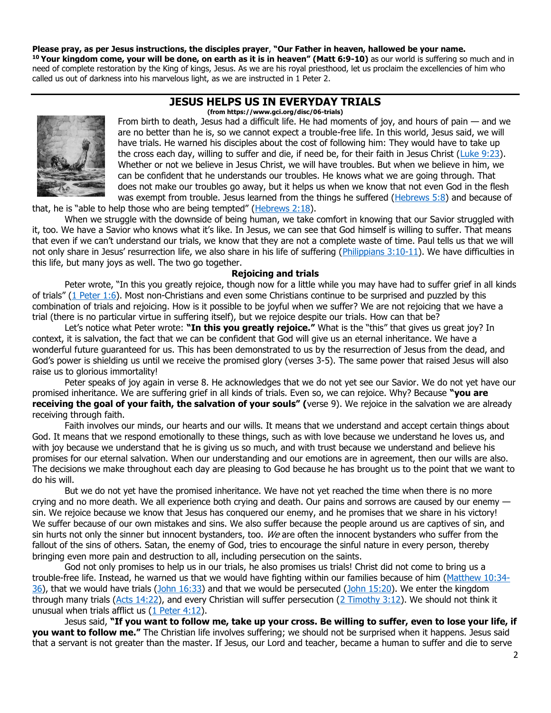## **Please pray, as per Jesus instructions, the disciples prayer**, **"Our Father in heaven, hallowed be your name.**

**<sup>10</sup> Your kingdom come, your will be done, on earth as it is in heaven" (Matt 6:9-10)** as our world is suffering so much and in need of complete restoration by the King of kings, Jesus. As we are his royal priesthood, let us proclaim the excellencies of him who called us out of darkness into his marvelous light, as we are instructed in 1 Peter 2.

## **JESUS HELPS US IN EVERYDAY TRIALS**





From birth to death, Jesus had a difficult life. He had moments of joy, and hours of pain — and we are no better than he is, so we cannot expect a trouble-free life. In this world, Jesus said, we will have trials. He warned his disciples about the cost of following him: They would have to take up the cross each day, willing to suffer and die, if need be, for their faith in Jesus Christ [\(Luke 9:23\)](https://biblia.com/bible/niv/Luke%209.23). Whether or not we believe in Jesus Christ, we will have troubles. But when we believe in him, we can be confident that he understands our troubles. He knows what we are going through. That does not make our troubles go away, but it helps us when we know that not even God in the flesh was exempt from trouble. Jesus learned from the things he suffered [\(Hebrews 5:8\)](https://biblia.com/bible/niv/Heb%205.8) and because of

that, he is "able to help those who are being tempted" ( $Hebrews$  2:18).

When we struggle with the downside of being human, we take comfort in knowing that our Savior struggled with it, too. We have a Savior who knows what it's like. In Jesus, we can see that God himself is willing to suffer. That means that even if we can't understand our trials, we know that they are not a complete waste of time. Paul tells us that we will not only share in Jesus' resurrection life, we also share in his life of suffering ([Philippians 3:10-11\)](https://biblia.com/bible/niv/Phil%203.10-11). We have difficulties in this life, but many joys as well. The two go together.

#### **Rejoicing and trials**

Peter wrote, "In this you greatly rejoice, though now for a little while you may have had to suffer grief in all kinds of trials" ([1 Peter 1:6\)](https://biblia.com/bible/niv/1%20Pet%201.6). Most non-Christians and even some Christians continue to be surprised and puzzled by this combination of trials and rejoicing. How is it possible to be joyful when we suffer? We are not rejoicing that we have a trial (there is no particular virtue in suffering itself), but we rejoice despite our trials. How can that be?

Let's notice what Peter wrote: **"In this you greatly rejoice."** What is the "this" that gives us great joy? In context, it is salvation, the fact that we can be confident that God will give us an eternal inheritance. We have a wonderful future guaranteed for us. This has been demonstrated to us by the resurrection of Jesus from the dead, and God's power is shielding us until we receive the promised glory (verses 3-5). The same power that raised Jesus will also raise us to glorious immortality!

Peter speaks of joy again in verse 8. He acknowledges that we do not yet see our Savior. We do not yet have our promised inheritance. We are suffering grief in all kinds of trials. Even so, we can rejoice. Why? Because **"you are receiving the goal of your faith, the salvation of your souls" (**verse 9). We rejoice in the salvation we are already receiving through faith.

Faith involves our minds, our hearts and our wills. It means that we understand and accept certain things about God. It means that we respond emotionally to these things, such as with love because we understand he loves us, and with joy because we understand that he is giving us so much, and with trust because we understand and believe his promises for our eternal salvation. When our understanding and our emotions are in agreement, then our wills are also. The decisions we make throughout each day are pleasing to God because he has brought us to the point that we want to do his will.

But we do not yet have the promised inheritance. We have not yet reached the time when there is no more crying and no more death. We all experience both crying and death. Our pains and sorrows are caused by our enemy sin. We rejoice because we know that Jesus has conquered our enemy, and he promises that we share in his victory! We suffer because of our own mistakes and sins. We also suffer because the people around us are captives of sin, and sin hurts not only the sinner but innocent bystanders, too. We are often the innocent bystanders who suffer from the fallout of the sins of others. Satan, the enemy of God, tries to encourage the sinful nature in every person, thereby bringing even more pain and destruction to all, including persecution on the saints.

God not only promises to help us in our trials, he also promises us trials! Christ did not come to bring us a trouble-free life. Instead, he warned us that we would have fighting within our families because of him [\(Matthew 10:34-](https://biblia.com/bible/niv/Matt%2010.34-36) [36\)](https://biblia.com/bible/niv/Matt%2010.34-36), that we would have trials [\(John 16:33\)](https://biblia.com/bible/niv/John%2016.33) and that we would be persecuted [\(John 15:20\)](https://biblia.com/bible/niv/John%2015.20). We enter the kingdom through many trials [\(Acts 14:22\)](https://biblia.com/bible/niv/Acts%2014.22), and every Christian will suffer persecution [\(2 Timothy 3:12\)](https://biblia.com/bible/niv/2%20Tim%203.12). We should not think it unusual when trials afflict us [\(1 Peter 4:12\)](https://biblia.com/bible/niv/1%20Pet%204.12).

Jesus said, **"If you want to follow me, take up your cross. Be willing to suffer, even to lose your life, if you want to follow me."** The Christian life involves suffering; we should not be surprised when it happens. Jesus said that a servant is not greater than the master. If Jesus, our Lord and teacher, became a human to suffer and die to serve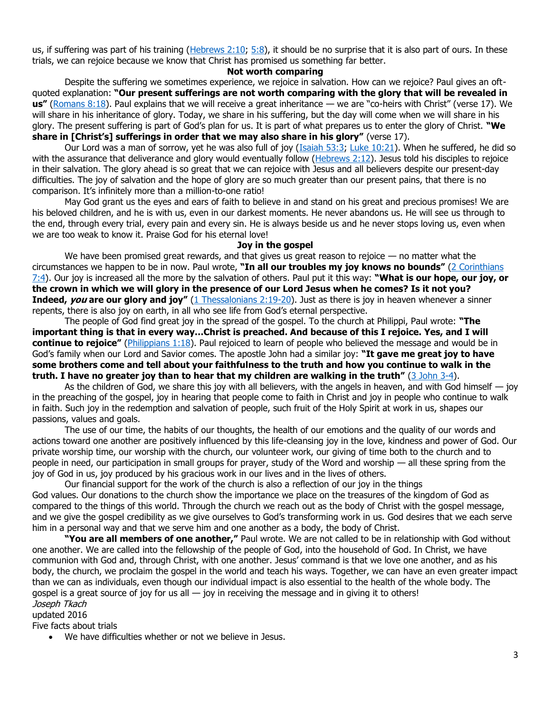us, if suffering was part of his training [\(Hebrews 2:10;](https://biblia.com/bible/niv/Heb%202.10) [5:8\)](https://biblia.com/bible/niv/Hebrews%205.8), it should be no surprise that it is also part of ours. In these trials, we can rejoice because we know that Christ has promised us something far better.

## **Not worth comparing**

Despite the suffering we sometimes experience, we rejoice in salvation. How can we rejoice? Paul gives an oftquoted explanation: **"Our present sufferings are not worth comparing with the glory that will be revealed in us"** [\(Romans 8:18\)](https://biblia.com/bible/niv/Rom%208.18). Paul explains that we will receive a great inheritance — we are "co-heirs with Christ" (verse 17). We will share in his inheritance of glory. Today, we share in his suffering, but the day will come when we will share in his glory. The present suffering is part of God's plan for us. It is part of what prepares us to enter the glory of Christ. **"We share in [Christ's] sufferings in order that we may also share in his glory"** (verse 17).

Our Lord was a man of sorrow, yet he was also full of joy [\(Isaiah 53:3;](https://biblia.com/bible/niv/Isa%2053.3) [Luke 10:21\)](https://biblia.com/bible/niv/Luke%2010.21). When he suffered, he did so with the assurance that deliverance and glory would eventually follow [\(Hebrews 2:12\)](https://biblia.com/bible/niv/Heb%202.12). Jesus told his disciples to rejoice in their salvation. The glory ahead is so great that we can rejoice with Jesus and all believers despite our present-day difficulties. The joy of salvation and the hope of glory are so much greater than our present pains, that there is no comparison. It's infinitely more than a million-to-one ratio!

May God grant us the eyes and ears of faith to believe in and stand on his great and precious promises! We are his beloved children, and he is with us, even in our darkest moments. He never abandons us. He will see us through to the end, through every trial, every pain and every sin. He is always beside us and he never stops loving us, even when we are too weak to know it. Praise God for his eternal love!

#### **Joy in the gospel**

We have been promised great rewards, and that gives us great reason to rejoice  $-$  no matter what the circumstances we happen to be in now. Paul wrote, **"In all our troubles my joy knows no bounds"** [\(2 Corinthians](https://biblia.com/bible/niv/2%20Cor%207.4)  [7:4\)](https://biblia.com/bible/niv/2%20Cor%207.4). Our joy is increased all the more by the salvation of others. Paul put it this way: **"What is our hope, our joy, or the crown in which we will glory in the presence of our Lord Jesus when he comes? Is it not you? Indeed, you are our glory and joy"** [\(1 Thessalonians 2:19-20\)](https://biblia.com/bible/niv/1%20Thess%202.19-20). Just as there is joy in heaven whenever a sinner repents, there is also joy on earth, in all who see life from God's eternal perspective.

The people of God find great joy in the spread of the gospel. To the church at Philippi, Paul wrote: **"The important thing is that in every way…Christ is preached. And because of this I rejoice. Yes, and I will continue to rejoice"** [\(Philippians 1:18\)](https://biblia.com/bible/niv/Phil%201.18). Paul rejoiced to learn of people who believed the message and would be in God's family when our Lord and Savior comes. The apostle John had a similar joy: **"It gave me great joy to have some brothers come and tell about your faithfulness to the truth and how you continue to walk in the truth. I have no greater joy than to hear that my children are walking in the truth"** [\(3 John 3-4\)](https://biblia.com/bible/niv/3%20John%203-4).

As the children of God, we share this joy with all believers, with the angels in heaven, and with God himself  $-$  joy in the preaching of the gospel, joy in hearing that people come to faith in Christ and joy in people who continue to walk in faith. Such joy in the redemption and salvation of people, such fruit of the Holy Spirit at work in us, shapes our passions, values and goals.

The use of our time, the habits of our thoughts, the health of our emotions and the quality of our words and actions toward one another are positively influenced by this life-cleansing joy in the love, kindness and power of God. Our private worship time, our worship with the church, our volunteer work, our giving of time both to the church and to people in need, our participation in small groups for prayer, study of the Word and worship — all these spring from the joy of God in us, joy produced by his gracious work in our lives and in the lives of others.

Our financial support for the work of the church is also a reflection of our joy in the things God values. Our donations to the church show the importance we place on the treasures of the kingdom of God as compared to the things of this world. Through the church we reach out as the body of Christ with the gospel message, and we give the gospel credibility as we give ourselves to God's transforming work in us. God desires that we each serve him in a personal way and that we serve him and one another as a body, the body of Christ.

**"You are all members of one another,"** Paul wrote. We are not called to be in relationship with God without one another. We are called into the fellowship of the people of God, into the household of God. In Christ, we have communion with God and, through Christ, with one another. Jesus' command is that we love one another, and as his body, the church, we proclaim the gospel in the world and teach his ways. Together, we can have an even greater impact than we can as individuals, even though our individual impact is also essential to the health of the whole body. The gospel is a great source of joy for us all  $-$  joy in receiving the message and in giving it to others! Joseph Tkach

updated 2016

Five facts about trials

• We have difficulties whether or not we believe in Jesus.